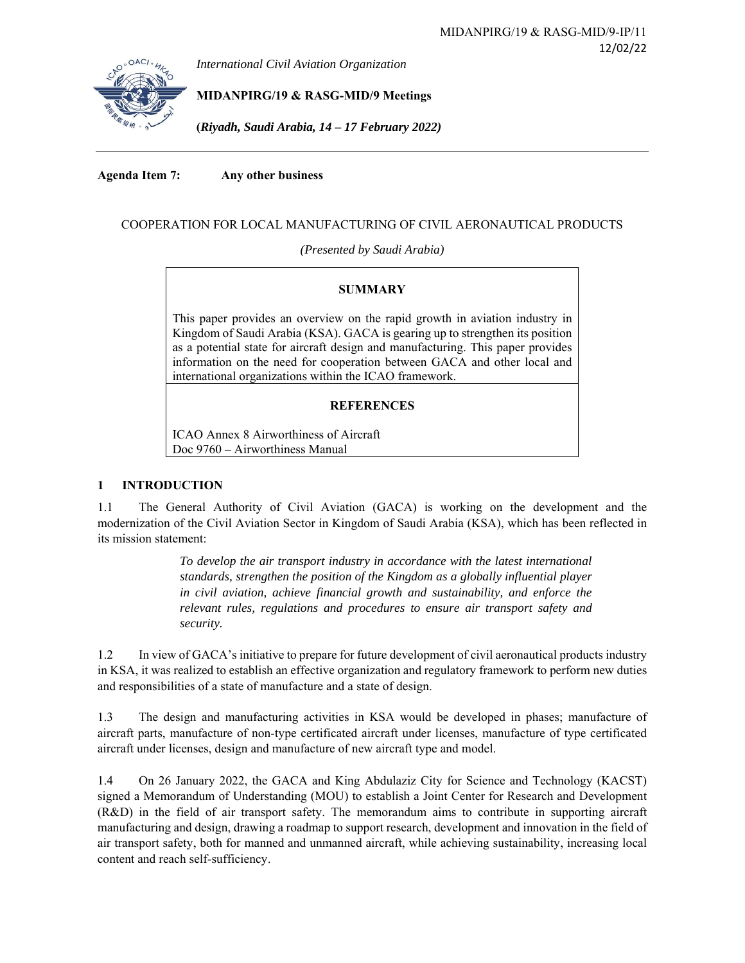*International Civil Aviation Organization*

**MIDANPIRG/19 & RASG-MID/9 Meetings** 

**(***Riyadh, Saudi Arabia, 14 – 17 February 2022)* 

**Agenda Item 7: Any other business**

# COOPERATION FOR LOCAL MANUFACTURING OF CIVIL AERONAUTICAL PRODUCTS

*(Presented by Saudi Arabia)* 

## **SUMMARY**

This paper provides an overview on the rapid growth in aviation industry in Kingdom of Saudi Arabia (KSA). GACA is gearing up to strengthen its position as a potential state for aircraft design and manufacturing. This paper provides information on the need for cooperation between GACA and other local and international organizations within the ICAO framework.

## **REFERENCES**

ICAO Annex 8 Airworthiness of Aircraft Doc 9760 – Airworthiness Manual

## **1 INTRODUCTION**

1.1 The General Authority of Civil Aviation (GACA) is working on the development and the modernization of the Civil Aviation Sector in Kingdom of Saudi Arabia (KSA), which has been reflected in its mission statement:

> *To develop the air transport industry in accordance with the latest international standards, strengthen the position of the Kingdom as a globally influential player in civil aviation, achieve financial growth and sustainability, and enforce the relevant rules, regulations and procedures to ensure air transport safety and security.*

1.2 In view of GACA's initiative to prepare for future development of civil aeronautical products industry in KSA, it was realized to establish an effective organization and regulatory framework to perform new duties and responsibilities of a state of manufacture and a state of design.

1.3 The design and manufacturing activities in KSA would be developed in phases; manufacture of aircraft parts, manufacture of non-type certificated aircraft under licenses, manufacture of type certificated aircraft under licenses, design and manufacture of new aircraft type and model.

1.4 On 26 January 2022, the GACA and King Abdulaziz City for Science and Technology (KACST) signed a Memorandum of Understanding (MOU) to establish a Joint Center for Research and Development (R&D) in the field of air transport safety. The memorandum aims to contribute in supporting aircraft manufacturing and design, drawing a roadmap to support research, development and innovation in the field of air transport safety, both for manned and unmanned aircraft, while achieving sustainability, increasing local content and reach self-sufficiency.